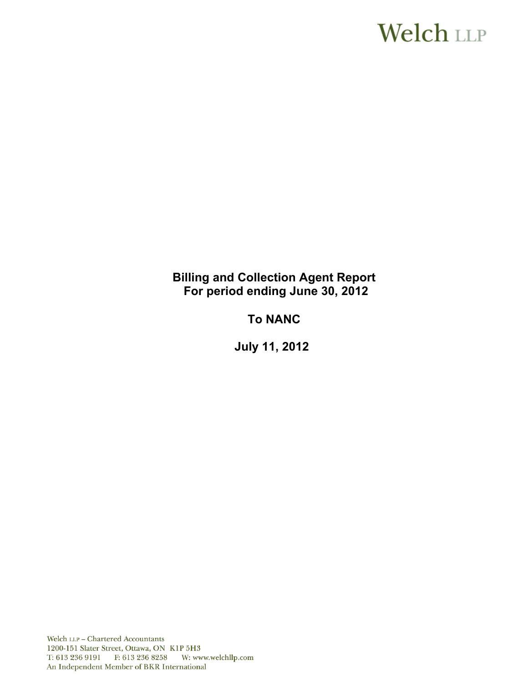# **Welch LLP**

# **Billing and Collection Agent Report For period ending June 30, 2012**

# **To NANC**

**July 11, 2012** 

Welch LLP - Chartered Accountants 1200-151 Slater Street, Ottawa, ON K1P 5H3 T: 613 236 9191 F: 613 236 8258 W: www.welchllp.com An Independent Member of BKR International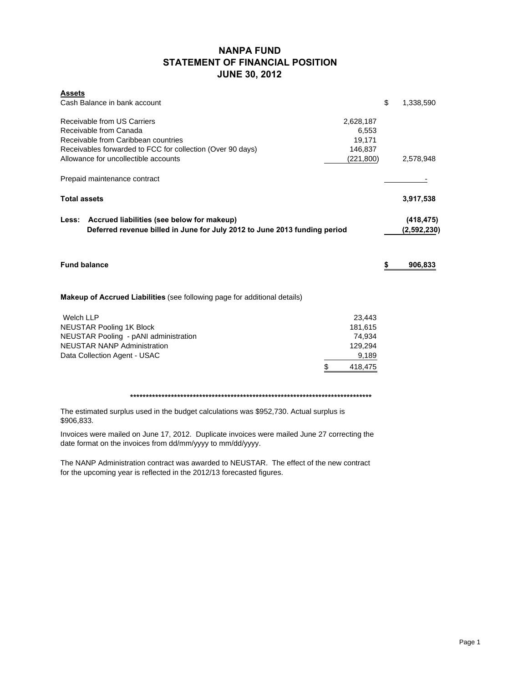# **NANPA FUND STATEMENT OF FINANCIAL POSITION JUNE 30, 2012**

| <b>Assets</b>                                                                    |            |           |                 |
|----------------------------------------------------------------------------------|------------|-----------|-----------------|
| Cash Balance in bank account                                                     |            |           | \$<br>1,338,590 |
| Receivable from US Carriers                                                      |            | 2,628,187 |                 |
| Receivable from Canada                                                           |            | 6,553     |                 |
| Receivable from Caribbean countries                                              |            | 19,171    |                 |
| Receivables forwarded to FCC for collection (Over 90 days)                       |            | 146,837   |                 |
| Allowance for uncollectible accounts                                             | (221, 800) | 2,578,948 |                 |
| Prepaid maintenance contract                                                     |            |           |                 |
| <b>Total assets</b>                                                              |            |           | 3,917,538       |
| Less: Accrued liabilities (see below for makeup)                                 |            |           | (418, 475)      |
| Deferred revenue billed in June for July 2012 to June 2013 funding period        |            |           | (2,592,230)     |
|                                                                                  |            |           |                 |
| <b>Fund balance</b>                                                              |            |           | \$<br>906,833   |
| <b>Makeup of Accrued Liabilities</b> (see following page for additional details) |            |           |                 |
| <b>Welch LLP</b>                                                                 |            | 23,443    |                 |
| <b>NEUSTAR Pooling 1K Block</b>                                                  |            | 181,615   |                 |
| NEUSTAR Pooling - pANI administration                                            |            | 74,934    |                 |
| <b>NEUSTAR NANP Administration</b>                                               |            | 129,294   |                 |
|                                                                                  |            |           |                 |
| Data Collection Agent - USAC                                                     |            | 9,189     |                 |
|                                                                                  | \$         | 418.475   |                 |

**\*\*\*\*\*\*\*\*\*\*\*\*\*\*\*\*\*\*\*\*\*\*\*\*\*\*\*\*\*\*\*\*\*\*\*\*\*\*\*\*\*\*\*\*\*\*\*\*\*\*\*\*\*\*\*\*\*\*\*\*\*\*\*\*\*\*\*\*\*\*\*\*\*\*\*\*\***

The estimated surplus used in the budget calculations was \$952,730. Actual surplus is \$906,833.

Invoices were mailed on June 17, 2012. Duplicate invoices were mailed June 27 correcting the date format on the invoices from dd/mm/yyyy to mm/dd/yyyy.

The NANP Administration contract was awarded to NEUSTAR. The effect of the new contract for the upcoming year is reflected in the 2012/13 forecasted figures.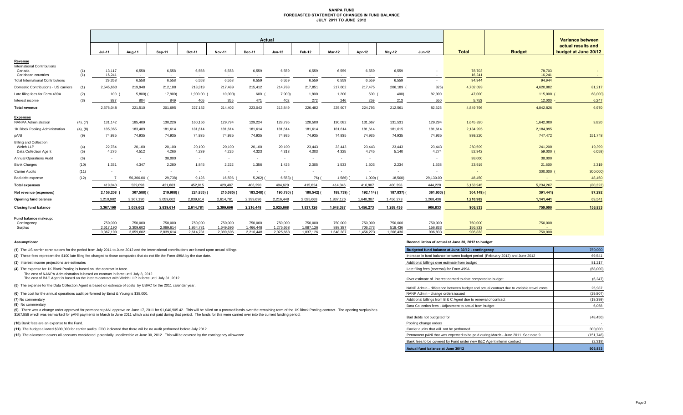### **NANPA FUND FORECASTED STATEMENT OF CHANGES IN FUND BALANCE JULY 2011 TO JUNE 2012**

|                                                  |            | Actual                   |                      |                      |                      |                      |                      |                      |                      |                    |                    | Variance between   |                    |                    |                      |                                            |
|--------------------------------------------------|------------|--------------------------|----------------------|----------------------|----------------------|----------------------|----------------------|----------------------|----------------------|--------------------|--------------------|--------------------|--------------------|--------------------|----------------------|--------------------------------------------|
|                                                  |            | <b>Jul-11</b>            | Aug-11               | Sep-11               | Oct-11               | <b>Nov-11</b>        | Dec-11               | $Jan-12$             | Feb-12               | <b>Mar-12</b>      | Apr-12             | $May-12$           | <b>Jun-12</b>      | <b>Total</b>       | <b>Budget</b>        | actual results and<br>budget at June 30/12 |
| Revenue<br><b>International Contributions</b>    |            |                          |                      |                      |                      |                      |                      |                      |                      |                    |                    |                    |                    |                    |                      |                                            |
| Canada<br>Caribbean countries                    | (1)<br>(1) | 13,117<br>16,241         | 6,558<br>$\sim$      | 6,558<br>$\sim$      | 6,558<br>$\sim$      | 6,558<br>$\sim$      | 6,559<br>$\sim$      | 6,559<br>$\sim$      | 6,559<br>$\sim$      | 6,559<br>$\sim$    | 6,559<br>$\sim$    | 6,559<br>$\sim$    |                    | 78,703<br>16.241   | 78,703<br>16,241     | $\sim$<br>$\sim$                           |
| <b>Total International Contributions</b>         |            | 29,358                   | 6,558                | 6.558                | 6.558                | 6.558                | 6.559                | 6.559                | 6,559                | 6.559              | 6.559              | 6.559              |                    | 94.944             | 94,944               |                                            |
| Domestic Contributions - US carriers             | (1)        | 2,545,663                | 219.948              | 212,188              | 218,319              | 217.489              | 215,412              | 214,788              | 217,851              | 217,602            | 217.475            | 206,189 (          | 825)               | 4,702,099          | 4,620,882            | 81,217                                     |
| Late filing fees for Form 499A                   | (2)        | 100                      | $5,800$ )            | 17,900)              | 1,900.00             | 10,000)              | 600                  | 7,900)               | 1,800                | 1,200              | 500                | 400)               | 82,900             | 47,000             | 115,000 (            | 68,000)                                    |
| Interest income                                  | (3)        | 927                      | 804                  | 849                  | 405                  | 355                  | 471                  | 402                  | 272                  | 246                | 259                | 213                | 550                | 5,753              | $12,000 -$           | 6,247                                      |
| <b>Total revenue</b>                             |            | 2,576,048                | 221,510              | 201,695              | 227,182              | 214,402              | 223,042              | 213,849              | 226,482              | 225,607            | 224,793            | 212,561            | 82,625             | 4,849,796          | 4,842,826            | 6,970                                      |
| <b>Expenses</b><br><b>NANPA Administration</b>   | (4), (7)   | 131,142                  | 185,409              | 130,226              | 160,156              | 129,794              | 129,224              | 128,795              | 128,500              | 130,082            | 131,667            | 131,531            | 129,294            | 1,645,820          | 1,642,000            | 3,820                                      |
| 1K Block Pooling Administration                  | (4), (8)   | 185,365                  | 183,489              | 181,614              | 181,614              | 181,614              | 181,614              | 181,614              | 181,614              | 181,614            | 181,614            | 181,615            | 181,614            | 2,184,995          | 2,184,995            |                                            |
| pANI                                             | (9)        | 74,935                   | 74,935               | 74,935               | 74,935               | 74,935               | 74,935               | 74,935               | 74,935               | 74,935             | 74,935             | 74,935             | 74,935             | 899,220            | 747,472              | 151,748                                    |
| <b>Billing and Collection</b>                    |            |                          |                      |                      |                      |                      |                      |                      |                      |                    |                    |                    |                    |                    |                      |                                            |
| Welch LLP                                        | (4)        | 22,784                   | 20,100               | 20,100               | 20,100               | 20,100               | 20,100               | 20,100               | 23,443               | 23,443             | 23,443             | 23,443             | 23,443             | 260,599            | 241,200              | 19,399                                     |
| Data Collection Agent<br>Annual Operations Audit | (5)<br>(6) | 4,276<br>$\sim$          | 4,512<br>$\sim$      | 4,266<br>38,000      | 4,239<br>$\sim$      | 4,226<br>$\sim$      | 4,323<br>$\sim$      | 4,313<br>$\sim$      | 4,303<br>$\sim$      | 4,325<br>$\sim$    | 4,745<br>$\sim$    | 5,140              | 4,274              | 52,942<br>38,000   | $59,000$ (<br>38,000 | 6,058                                      |
| <b>Bank Charges</b>                              | (10)       | 1,331                    | 4,347                | 2,280                | 1.845                | 2,222                | 1,356                | 1,425                | 2,305                | 1,533              | 1,503              | 2,234              | 1,538              | 23,919             | 21,600               | 2,319                                      |
| <b>Carrier Audits</b>                            | (11)       | $\overline{\phantom{a}}$ | $\sim$               | ٠                    |                      | $\sim$               |                      | $\sim$               | $\sim$               | $\sim$             | $\sim$             | $\sim$             |                    |                    | $300,000$ (          | 300,000)                                   |
| Bad debt expense                                 | (12)       |                          | 56,306.00            | 29,738)              | 9,126                | 16,596               | 5,262                | 6,553)               | 76)                  | 1,586)             | 1,000              | 18,500)            | 29,130.00          | 48,450             |                      | 48,450                                     |
| <b>Total expenses</b>                            |            | 419,840                  | 529,098              | 421,683              | 452,015              | 429,487              | 406,290              | 404,629              | 415,024              | 414,346            | 416,907            | 400,398            | 444,228            | 5,153,945          | 5,234,267            | (80, 322)                                  |
| Net revenue (expenses)                           |            | 2,156,208                | 307,588)             | 219,988)             | 224,833)             | 215,085)             | 183,248)             | 190,780)             | 188,542)             | 188,739) (         | 192,114)           | 187,837) (         | $361,603$ (        | $304,149$ (        | 391,441)             | 87,292                                     |
| Opening fund balance                             |            | 1,210,982                | 3,367,190            | 3,059,602            | 2,839,614            | 2,614,781            | 2,399,696            | 2,216,448            | 2,025,668            | 1,837,126          | 1,648,387          | 1,456,273          | 1,268,436          | 1,210,982          | 1,141,441            | 69,541                                     |
| <b>Closing fund balance</b>                      |            | 3,367,190                | 3,059,602            | 2.839.614            | 2.614.781            | 2.399.696            | 2,216,448            | 2.025.668            | 1,837,126            | 1.648.387          | 1.456.273          | 1,268,436          | 906,833            | 906,833            | 750,000              | 156,833                                    |
| Fund balance makeup:                             |            |                          |                      |                      |                      |                      |                      |                      |                      |                    |                    |                    |                    |                    |                      |                                            |
| Contingency<br>Surplus                           |            | 750,000<br>2.617.190     | 750,000<br>2.309.602 | 750,000<br>2.089.614 | 750,000<br>1.864.781 | 750,000<br>1.649.696 | 750,000<br>1,466,448 | 750,000<br>1,275,668 | 750,000<br>1,087,126 | 750,000<br>898.387 | 750,000<br>706,273 | 750,000<br>518,436 | 750,000<br>156,833 | 750,000<br>156.833 | 750,000<br>$\sim$    |                                            |
|                                                  |            | 3,367,190                | 3.059.602            | 2,839,614            | 2,614,781            | 2.399.696            | 2,216,448            | 2,025,668            | 1,837,126            | 1.648.387          | 1.456.273          | 1,268,436          | 906,833            | 906,833            | 750,000              |                                            |

**(8)** No commentary

#### **Assumptions: Reconciliation of actual at June 30, 2012 to budget**

| (1) The US carrier contributions for the period from July 2011 to June 2012 and the International contributions are based upon actual billings.                                                                                                                                                                                                                                                                       | Budgeted fund balance at June 30/12 - contingency                                       | 750,000    |
|-----------------------------------------------------------------------------------------------------------------------------------------------------------------------------------------------------------------------------------------------------------------------------------------------------------------------------------------------------------------------------------------------------------------------|-----------------------------------------------------------------------------------------|------------|
| (2) These fees represent the \$100 late filing fee charged to those companies that do not file the Form 499A by the due date.                                                                                                                                                                                                                                                                                         | Increase in fund balance between budget period (February 2012) and June 2012            | 69,541     |
| (3) Interest income projections are estimates                                                                                                                                                                                                                                                                                                                                                                         | Additional billings over estimate from budget                                           | 81,217     |
| (4) The expense for 1K Block Pooling is based on the contract in force.                                                                                                                                                                                                                                                                                                                                               | Late filing fees (reversal) for Form 499A                                               | (68,000)   |
| The cost of NANPA Administration is based on contract in force until July 8, 2012.<br>The cost of B&C Agent is based on the interim contract with Welch LLP in force until July 31, 2012.                                                                                                                                                                                                                             | Over estimate of interest earned to date compared to budget                             | (6, 247)   |
| (5) The expense for the Data Collection Agent is based on estimate of costs by USAC for the 2011 calendar year.                                                                                                                                                                                                                                                                                                       | NANP Admin - difference between budget and actual contract due to variable travel costs | 25,987     |
| (6) The cost for the annual operations audit performed by Ernst & Young is \$38,000.                                                                                                                                                                                                                                                                                                                                  | NANP Admin - change orders issued                                                       | (29, 807)  |
| (7) No commentary                                                                                                                                                                                                                                                                                                                                                                                                     | Additional billings from B & C Agent due to renewal of contract                         | (19, 399)  |
| (8) No commentary                                                                                                                                                                                                                                                                                                                                                                                                     | Data Collection fees - Adjustment to actual from budget                                 | 6,058      |
| (9) There was a change order approved for permanent pANI approve on June 17, 2011 for \$1,040,905.42. This will be billed on a prorated basis over the remaining term of the 1K Block Pooling contract. The opening surplus has<br>\$167,858 which was earmarked for pANI payments in March to June 2011 which was not paid during that period. The funds for this were carried over into the current funding period. | Bad debts not budgeted for                                                              | (48, 450)  |
| (10) Bank fees are an expense to the Fund.                                                                                                                                                                                                                                                                                                                                                                            | Pooling change orders                                                                   |            |
| (11) The budget allowed \$300,000 for carrier audits. FCC indicated that there will be no audit performed before July 2012.                                                                                                                                                                                                                                                                                           | Carrier audits that will not be performed                                               | 300,000    |
| (12) The allowance covers all accounts considered potentially uncollectible at June 30, 2012. This will be covered by the contingency allowance.                                                                                                                                                                                                                                                                      | Permanent pANi that was expected to be paid during March - June 2011. See note 9.       | (151, 748) |
|                                                                                                                                                                                                                                                                                                                                                                                                                       | Bank fees to be covered by Fund under new B&C Agent interim contract                    | (2,319)    |
|                                                                                                                                                                                                                                                                                                                                                                                                                       | Actual fund balance at June 30/12                                                       | 906,833    |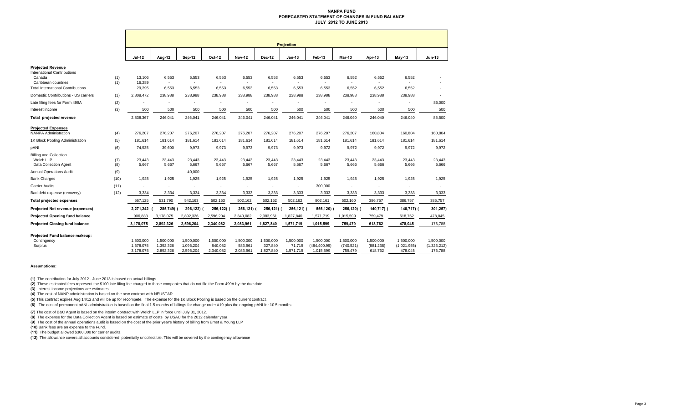#### **NANPA FUND FORECASTED STATEMENT OF CHANGES IN FUND BALANCEJULY 2012 TO JUNE 2013**

|                                                                                                                                             |            | <b>Projection</b>          |                                            |                          |                                            |                          |                          |                                            |                            |                                            |                          |                        |                        |
|---------------------------------------------------------------------------------------------------------------------------------------------|------------|----------------------------|--------------------------------------------|--------------------------|--------------------------------------------|--------------------------|--------------------------|--------------------------------------------|----------------------------|--------------------------------------------|--------------------------|------------------------|------------------------|
|                                                                                                                                             |            | <b>Jul-12</b>              | Aug-12                                     | <b>Sep-12</b>            | Oct-12                                     | <b>Nov-12</b>            | <b>Dec-12</b>            | $Jan-13$                                   | Feb-13                     | Mar-13                                     | Apr-13                   | <b>May-13</b>          | <b>Jun-13</b>          |
| <b>Projected Revenue</b><br><b>International Contributions</b><br>Canada<br>Caribbean countries<br><b>Total International Contributions</b> | (1)<br>(1) | 13,106<br>16,289<br>29,395 | 6,553<br>$\overline{\phantom{a}}$<br>6,553 | 6,553<br>$\sim$<br>6,553 | 6,553<br>$\overline{\phantom{a}}$<br>6,553 | 6,553<br>$\sim$<br>6,553 | 6,553<br>$\sim$<br>6,553 | 6,553<br>$\overline{\phantom{a}}$<br>6,553 | 6,553<br>$\sim$<br>6,553   | 6,552<br>$\overline{\phantom{a}}$<br>6,552 | 6,552<br>$\sim$<br>6,552 | 6,552<br>6,552         | $\sim$                 |
| Domestic Contributions - US carriers                                                                                                        | (1)        | 2,808,472                  | 238,988                                    | 238,988                  | 238,988                                    | 238,988                  | 238,988                  | 238,988                                    | 238,988                    | 238,988                                    | 238,988                  | 238,988                |                        |
| Late filing fees for Form 499A                                                                                                              | (2)        |                            |                                            |                          |                                            |                          |                          |                                            |                            |                                            |                          |                        | 85,000                 |
| Interest income                                                                                                                             | (3)        | 500                        | 500                                        | 500                      | 500                                        | 500                      | 500                      | 500                                        | 500                        | 500                                        | 500                      | 500                    | 500                    |
| Total projected revenue                                                                                                                     |            | 2,838,367                  | 246,041                                    | 246,041                  | 246,041                                    | 246,041                  | 246,041                  | 246,041                                    | 246,041                    | 246,040                                    | 246,040                  | 246,040                | 85,500                 |
| <b>Projected Expenses</b><br><b>NANPA Administration</b>                                                                                    | (4)        | 276,207                    | 276,207                                    | 276,207                  | 276,207                                    | 276,207                  | 276,207                  | 276,207                                    | 276,207                    | 276,207                                    | 160,804                  | 160,804                | 160,804                |
| 1K Block Pooling Administration                                                                                                             | (5)        | 181,614                    | 181,614                                    | 181,614                  | 181,614                                    | 181,614                  | 181,614                  | 181,614                                    | 181,614                    | 181,614                                    | 181,614                  | 181,614                | 181,614                |
| pANI                                                                                                                                        | (6)        | 74,935                     | 39,600                                     | 9,973                    | 9,973                                      | 9,973                    | 9,973                    | 9,973                                      | 9,972                      | 9,972                                      | 9,972                    | 9,972                  | 9,972                  |
| <b>Billing and Collection</b><br>Welch LLP<br>Data Collection Agent                                                                         | (7)<br>(8) | 23,443<br>5,667            | 23,443<br>5,667                            | 23,443<br>5,667          | 23,443<br>5,667                            | 23,443<br>5,667          | 23,443<br>5,667          | 23,443<br>5,667                            | 23,443<br>5,667            | 23,443<br>5,666                            | 23,443<br>5,666          | 23,443<br>5,666        | 23,443<br>5,666        |
| <b>Annual Operations Audit</b>                                                                                                              | (9)        |                            |                                            | 40,000                   |                                            |                          | $\overline{\phantom{a}}$ |                                            |                            |                                            | ٠                        |                        |                        |
| <b>Bank Charges</b>                                                                                                                         | (10)       | 1,925                      | 1,925                                      | 1,925                    | 1,925                                      | 1,925                    | 1,925                    | 1,925                                      | 1,925                      | 1,925                                      | 1,925                    | 1,925                  | 1,925                  |
| <b>Carrier Audits</b>                                                                                                                       | (11)       |                            |                                            |                          |                                            |                          |                          | $\overline{\phantom{a}}$                   | 300,000                    |                                            | ÷,                       |                        |                        |
| Bad debt expense (recovery)                                                                                                                 | (12)       | 3,334                      | 3,334                                      | 3,334                    | 3,334                                      | 3,333                    | 3,333                    | 3,333                                      | 3,333                      | 3,333                                      | 3,333                    | 3,333                  | 3,333                  |
| <b>Total projected expenses</b>                                                                                                             |            | 567,125                    | 531,790                                    | 542,163                  | 502,163                                    | 502,162                  | 502,162                  | 502,162                                    | 802,161                    | 502,160                                    | 386,757                  | 386,757                | 386,757                |
| Projected Net revenue (expenses)                                                                                                            |            | 2,271,242                  | 285,749)                                   | 296,122)                 | 256,122)                                   | 256,121)                 | 256,121) (               | 256,121)                                   | 556,120)                   | 256,120) (                                 | 140,717) (               | 140,717) (             | 301,257)               |
| <b>Projected Opening fund balance</b>                                                                                                       |            | 906,833                    | 3,178,075                                  | 2,892,326                | 2,596,204                                  | 2,340,082                | 2,083,961                | 1,827,840                                  | 1,571,719                  | 1,015,599                                  | 759,479                  | 618,762                | 478,045                |
| <b>Projected Closing fund balance</b>                                                                                                       |            | 3,178,075                  | 2,892,326                                  | 2,596,204                | 2,340,082                                  | 2,083,961                | 1,827,840                | 1,571,719                                  | 1,015,599                  | 759,479                                    | 618,762                  | 478,045                | 176,788                |
| Projected Fund balance makeup:<br>Contingency                                                                                               |            | 1.500.000                  | 1.500.000                                  | 1,500,000                | 1,500,000                                  | 1,500,000                | 1,500,000                | 1,500,000                                  | 1.500.000                  | 1,500,000                                  | 1,500,000                | 1,500,000              | 1,500,000              |
| Surplus                                                                                                                                     |            | 1,678,075<br>3.178.075     | 1,392,326<br>2.892.326                     | 1,096,204<br>2.596.204   | 840,082<br>2,340,082                       | 583,961<br>2.083.961     | 327,840<br>1,827,840     | 71,719<br>1,571,719                        | (484, 400.99)<br>1.015.599 | (740, 521)<br>759.479                      | (881, 238)<br>618.762    | (1,021,955)<br>478.045 | (1,323,212)<br>176.788 |

### **Assumptions:**

**(1)** The contribution for July 2012 - June 2013 is based on actual billings.

**(2)** These estimated fees represent the \$100 late filing fee charged to those companies that do not file the Form 499A by the due date.

**(3)** Interest income projections are estimates

**(4)** The cost of NANP administration is based on the new contract with NEUSTAR.

**(5)** This contract expires Aug 14/12 and will be up for recompete. The expense for the 1K Block Pooling is based on the current contract.

**(6)** The cost of permanent pANI administration is based on the final 1.5 months of billings for change order #19 plus the ongoing pANI for 10.5 months

**(7)** The cost of B&C Agent is based on the interim contract with Welch LLP in force until July 31, 2012.

**(8)** The expense for the Data Collection Agent is based on estimate of costs by USAC for the 2012 calendar year.

**(9)** The cost of the annual operations audit is based on the cost of the prior year's history of billing from Ernst & Young LLP

**(10)** Bank fees are an expense to the Fund.

**(11)** The budget allowed \$300,000 for carrier audits.

**(12)** The allowance covers all accounts considered potentially uncollectible. This will be covered by the contingency allowance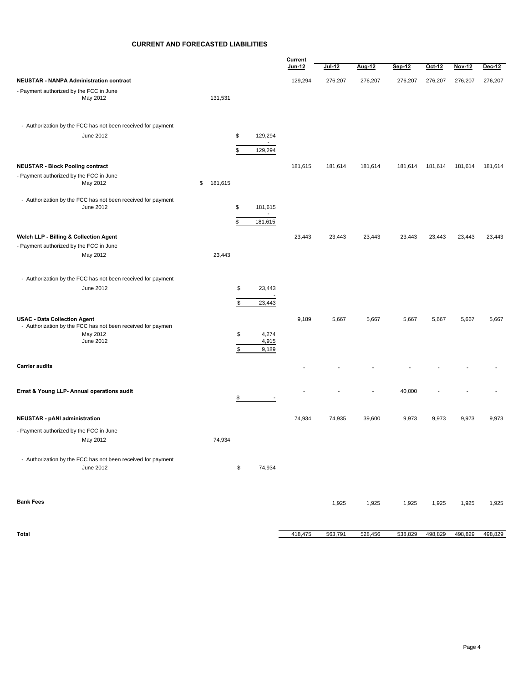# **CURRENT AND FORECASTED LIABILITIES**

|                                                                                                    | Current                                   |         |         |         |         |         |         |         |
|----------------------------------------------------------------------------------------------------|-------------------------------------------|---------|---------|---------|---------|---------|---------|---------|
|                                                                                                    |                                           | Jun-12  | Jul-12  | Aug-12  | Sep-12  | Oct-12  | Nov-12  | Dec-12  |
| <b>NEUSTAR - NANPA Administration contract</b>                                                     |                                           | 129,294 | 276,207 | 276,207 | 276,207 | 276,207 | 276,207 | 276,207 |
| - Payment authorized by the FCC in June<br>May 2012                                                | 131,531                                   |         |         |         |         |         |         |         |
| - Authorization by the FCC has not been received for payment                                       |                                           |         |         |         |         |         |         |         |
| June 2012                                                                                          | \$<br>129,294<br>$\sim$                   |         |         |         |         |         |         |         |
|                                                                                                    | \$<br>129,294                             |         |         |         |         |         |         |         |
| <b>NEUSTAR - Block Pooling contract</b>                                                            |                                           | 181,615 | 181,614 | 181,614 | 181,614 | 181,614 | 181,614 | 181,614 |
| - Payment authorized by the FCC in June<br>May 2012                                                | \$<br>181,615                             |         |         |         |         |         |         |         |
| - Authorization by the FCC has not been received for payment<br>June 2012                          | \$<br>181,615                             |         |         |         |         |         |         |         |
|                                                                                                    | $\overline{\phantom{a}}$<br>\$<br>181,615 |         |         |         |         |         |         |         |
| Welch LLP - Billing & Collection Agent                                                             |                                           | 23,443  | 23,443  | 23,443  | 23,443  | 23,443  | 23,443  | 23,443  |
| - Payment authorized by the FCC in June                                                            |                                           |         |         |         |         |         |         |         |
| May 2012                                                                                           | 23,443                                    |         |         |         |         |         |         |         |
| - Authorization by the FCC has not been received for payment                                       |                                           |         |         |         |         |         |         |         |
| June 2012                                                                                          | \$<br>23,443                              |         |         |         |         |         |         |         |
|                                                                                                    | $$\mathbb{S}$$<br>23,443                  |         |         |         |         |         |         |         |
| <b>USAC - Data Collection Agent</b><br>- Authorization by the FCC has not been received for paymen |                                           | 9,189   | 5,667   | 5,667   | 5,667   | 5,667   | 5,667   | 5,667   |
| May 2012                                                                                           | \$<br>4,274                               |         |         |         |         |         |         |         |
| June 2012                                                                                          | 4,915<br>\$<br>9,189                      |         |         |         |         |         |         |         |
| <b>Carrier audits</b>                                                                              |                                           |         |         |         |         |         |         |         |
| Ernst & Young LLP- Annual operations audit                                                         |                                           |         |         |         | 40,000  |         |         |         |
|                                                                                                    | \$                                        |         |         |         |         |         |         |         |
| <b>NEUSTAR - pANI administration</b>                                                               |                                           | 74,934  | 74,935  | 39,600  | 9,973   | 9,973   | 9,973   | 9,973   |
| - Payment authorized by the FCC in June                                                            |                                           |         |         |         |         |         |         |         |
| May 2012                                                                                           | 74,934                                    |         |         |         |         |         |         |         |
| - Authorization by the FCC has not been received for payment<br>June 2012                          | 74,934<br>\$                              |         |         |         |         |         |         |         |
|                                                                                                    |                                           |         |         |         |         |         |         |         |
| <b>Bank Fees</b>                                                                                   |                                           |         | 1,925   | 1,925   | 1,925   | 1,925   | 1,925   | 1,925   |
|                                                                                                    |                                           |         |         |         |         |         |         |         |
| Total                                                                                              |                                           | 418,475 | 563,791 | 528,456 | 538,829 | 498,829 | 498,829 | 498,829 |